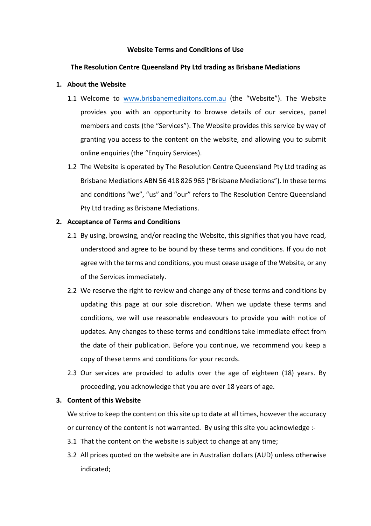## **Website Terms and Conditions of Use**

## **The Resolution Centre Queensland Pty Ltd trading as Brisbane Mediations**

## **1.** About the Website

- 1.1 Welcome to www.brisbanemediaitons.com.au (the "Website"). The Website provides you with an opportunity to browse details of our services, panel members and costs (the "Services"). The Website provides this service by way of granting you access to the content on the website, and allowing you to submit online enquiries (the "Enquiry Services).
- 1.2 The Website is operated by The Resolution Centre Queensland Pty Ltd trading as Brisbane Mediations ABN 56 418 826 965 ("Brisbane Mediations"). In these terms and conditions "we", "us" and "our" refers to The Resolution Centre Queensland Pty Ltd trading as Brisbane Mediations.

### **2. Acceptance of Terms and Conditions**

- 2.1 By using, browsing, and/or reading the Website, this signifies that you have read, understood and agree to be bound by these terms and conditions. If you do not agree with the terms and conditions, you must cease usage of the Website, or any of the Services immediately.
- 2.2 We reserve the right to review and change any of these terms and conditions by updating this page at our sole discretion. When we update these terms and conditions, we will use reasonable endeavours to provide you with notice of updates. Any changes to these terms and conditions take immediate effect from the date of their publication. Before you continue, we recommend you keep a copy of these terms and conditions for your records.
- 2.3 Our services are provided to adults over the age of eighteen (18) years. By proceeding, you acknowledge that you are over 18 years of age.

## **3. Content of this Website**

We strive to keep the content on this site up to date at all times, however the accuracy or currency of the content is not warranted. By using this site you acknowledge :-

- 3.1 That the content on the website is subiect to change at any time;
- 3.2 All prices quoted on the website are in Australian dollars (AUD) unless otherwise indicated;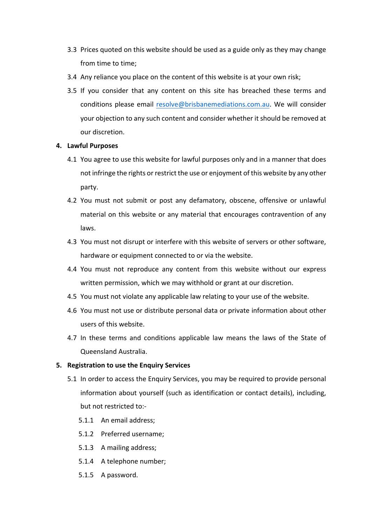- 3.3 Prices quoted on this website should be used as a guide only as they may change from time to time;
- 3.4 Any reliance you place on the content of this website is at your own risk;
- 3.5 If you consider that any content on this site has breached these terms and conditions please email resolve@brisbanemediations.com.au. We will consider your objection to any such content and consider whether it should be removed at our discretion.

### **4. Lawful Purposes**

- 4.1 You agree to use this website for lawful purposes only and in a manner that does not infringe the rights or restrict the use or enjoyment of this website by any other party.
- 4.2 You must not submit or post any defamatory, obscene, offensive or unlawful material on this website or any material that encourages contravention of any laws.
- 4.3 You must not disrupt or interfere with this website of servers or other software, hardware or equipment connected to or via the website.
- 4.4 You must not reproduce any content from this website without our express written permission, which we may withhold or grant at our discretion.
- 4.5 You must not violate any applicable law relating to your use of the website.
- 4.6 You must not use or distribute personal data or private information about other users of this website.
- 4.7 In these terms and conditions applicable law means the laws of the State of Queensland Australia.

### **5.** Registration to use the Enquiry Services

- 5.1 In order to access the Enquiry Services, you may be required to provide personal information about yourself (such as identification or contact details), including, but not restricted to:-
	- 5.1.1 An email address;
	- 5.1.2 Preferred username;
	- 5.1.3 A mailing address;
	- 5.1.4 A telephone number:
	- 5.1.5 A password.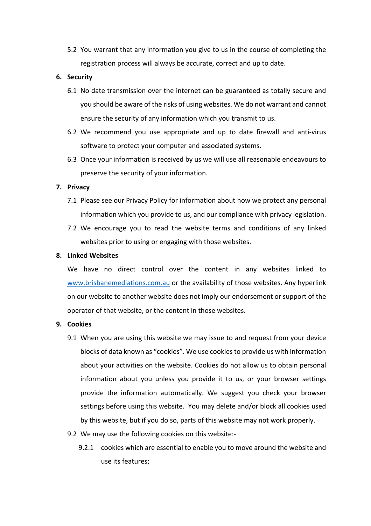5.2 You warrant that any information you give to us in the course of completing the registration process will always be accurate, correct and up to date.

## **6. Security**

- 6.1 No date transmission over the internet can be guaranteed as totally secure and you should be aware of the risks of using websites. We do not warrant and cannot ensure the security of any information which you transmit to us.
- 6.2 We recommend you use appropriate and up to date firewall and anti-virus software to protect your computer and associated systems.
- 6.3 Once your information is received by us we will use all reasonable endeavours to preserve the security of your information.

## **7. Privacy**

- 7.1 Please see our Privacy Policy for information about how we protect any personal information which you provide to us, and our compliance with privacy legislation.
- 7.2 We encourage you to read the website terms and conditions of any linked websites prior to using or engaging with those websites.

## **8. Linked Websites**

We have no direct control over the content in any websites linked to www.brisbanemediations.com.au or the availability of those websites. Any hyperlink on our website to another website does not imply our endorsement or support of the operator of that website, or the content in those websites.

### **9. Cookies**

- 9.1 When you are using this website we may issue to and request from your device blocks of data known as "cookies". We use cookies to provide us with information about your activities on the website. Cookies do not allow us to obtain personal information about you unless you provide it to us, or your browser settings provide the information automatically. We suggest you check your browser settings before using this website. You may delete and/or block all cookies used by this website, but if you do so, parts of this website may not work properly.
- 9.2 We may use the following cookies on this website:-
	- 9.2.1 cookies which are essential to enable you to move around the website and use its features: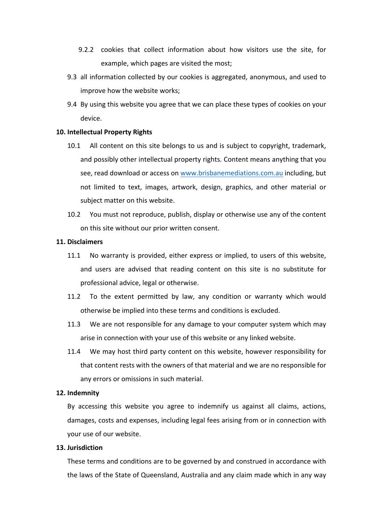- 9.2.2 cookies that collect information about how visitors use the site, for example, which pages are visited the most;
- 9.3 all information collected by our cookies is aggregated, anonymous, and used to improve how the website works;
- 9.4 By using this website you agree that we can place these types of cookies on your device.

# **10. Intellectual Property Rights**

- 10.1 All content on this site belongs to us and is subject to copyright, trademark, and possibly other intellectual property rights. Content means anything that you see, read download or access on www.brisbanemediations.com.au including, but not limited to text, images, artwork, design, graphics, and other material or subject matter on this website.
- 10.2 You must not reproduce, publish, display or otherwise use any of the content on this site without our prior written consent.

### **11. Disclaimers**

- 11.1 No warranty is provided, either express or implied, to users of this website, and users are advised that reading content on this site is no substitute for professional advice, legal or otherwise.
- 11.2 To the extent permitted by law, any condition or warranty which would otherwise be implied into these terms and conditions is excluded.
- 11.3 We are not responsible for any damage to your computer system which may arise in connection with your use of this website or any linked website.
- 11.4 We may host third party content on this website, however responsibility for that content rests with the owners of that material and we are no responsible for any errors or omissions in such material.

#### **12. Indemnity**

By accessing this website you agree to indemnify us against all claims, actions, damages, costs and expenses, including legal fees arising from or in connection with vour use of our website.

## **13. Jurisdiction**

These terms and conditions are to be governed by and construed in accordance with the laws of the State of Queensland, Australia and any claim made which in any way